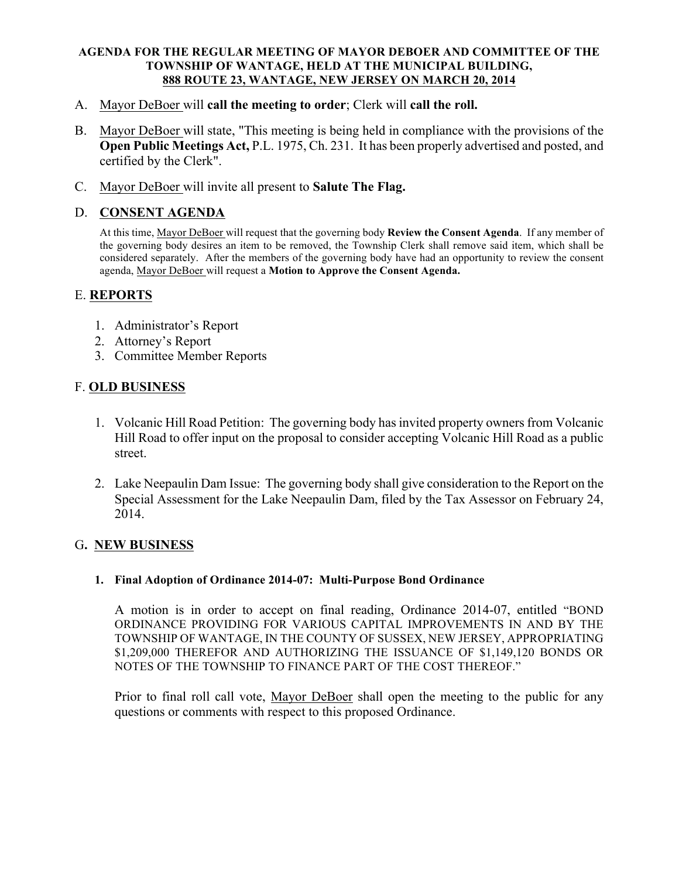#### AGENDA FOR THE REGULAR MEETING OF MAYOR DEBOER AND COMMITTEE OF THE TOWNSHIP OF WANTAGE, HELD AT THE MUNICIPAL BUILDING, 888 ROUTE 23, WANTAGE, NEW JERSEY ON MARCH 20, 2014

- A. Mayor DeBoer will call the meeting to order; Clerk will call the roll.
- B. Mayor DeBoer will state, "This meeting is being held in compliance with the provisions of the Open Public Meetings Act, P.L. 1975, Ch. 231. It has been properly advertised and posted, and certified by the Clerk".
- C. Mayor DeBoer will invite all present to Salute The Flag.

# D. CONSENT AGENDA

At this time, Mayor DeBoer will request that the governing body Review the Consent Agenda. If any member of the governing body desires an item to be removed, the Township Clerk shall remove said item, which shall be considered separately. After the members of the governing body have had an opportunity to review the consent agenda, Mayor DeBoer will request a Motion to Approve the Consent Agenda.

# E. REPORTS

- 1. Administrator's Report
- 2. Attorney's Report
- 3. Committee Member Reports

# F. OLD BUSINESS

- 1. Volcanic Hill Road Petition: The governing body has invited property owners from Volcanic Hill Road to offer input on the proposal to consider accepting Volcanic Hill Road as a public street.
- 2. Lake Neepaulin Dam Issue: The governing body shall give consideration to the Report on the Special Assessment for the Lake Neepaulin Dam, filed by the Tax Assessor on February 24, 2014.

# G. NEW BUSINESS

# 1. Final Adoption of Ordinance 2014-07: Multi-Purpose Bond Ordinance

A motion is in order to accept on final reading, Ordinance 2014-07, entitled "BOND ORDINANCE PROVIDING FOR VARIOUS CAPITAL IMPROVEMENTS IN AND BY THE TOWNSHIP OF WANTAGE, IN THE COUNTY OF SUSSEX, NEW JERSEY, APPROPRIATING \$1,209,000 THEREFOR AND AUTHORIZING THE ISSUANCE OF \$1,149,120 BONDS OR NOTES OF THE TOWNSHIP TO FINANCE PART OF THE COST THEREOF."

Prior to final roll call vote, Mayor DeBoer shall open the meeting to the public for any questions or comments with respect to this proposed Ordinance.